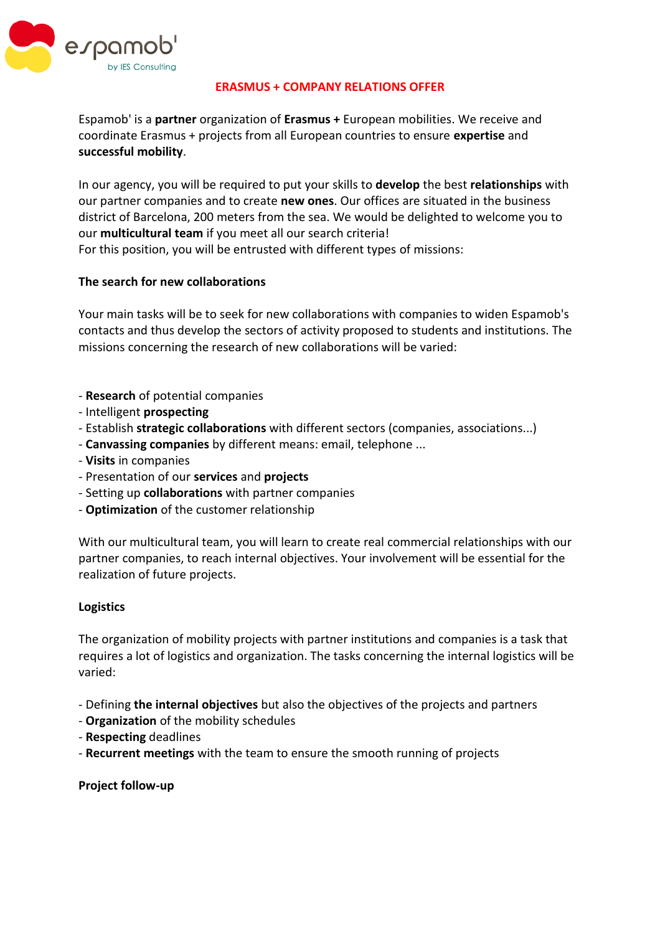

#### **ERASMUS + COMPANY RELATIONS OFFER**

Espamob' is a **partner** organization of **Erasmus +** European mobilities. We receive and coordinate Erasmus + projects from all European countries to ensure **expertise** and **successful mobility**.

In our agency, you will be required to put your skills to **develop** the best **relationships** with our partner companies and to create **new ones**. Our offices are situated in the business district of Barcelona, 200 meters from the sea. We would be delighted to welcome you to our **multicultural team** if you meet all our search criteria! For this position, you will be entrusted with different types of missions:

## **The search for new collaborations**

Your main tasks will be to seek for new collaborations with companies to widen Espamob's contacts and thus develop the sectors of activity proposed to students and institutions. The missions concerning the research of new collaborations will be varied:

- **Research** of potential companies
- Intelligent **prospecting**
- Establish **strategic collaborations** with different sectors (companies, associations...)
- **Canvassing companies** by different means: email, telephone ...
- **Visits** in companies
- Presentation of our **services** and **projects**
- Setting up **collaborations** with partner companies
- **Optimization** of the customer relationship

With our multicultural team, you will learn to create real commercial relationships with our partner companies, to reach internal objectives. Your involvement will be essential for the realization of future projects.

#### **Logistics**

The organization of mobility projects with partner institutions and companies is a task that requires a lot of logistics and organization. The tasks concerning the internal logistics will be varied:

- Defining **the internal objectives** but also the objectives of the projects and partners
- **Organization** of the mobility schedules
- **Respecting** deadlines
- **Recurrent meetings** with the team to ensure the smooth running of projects

**Project follow-up**